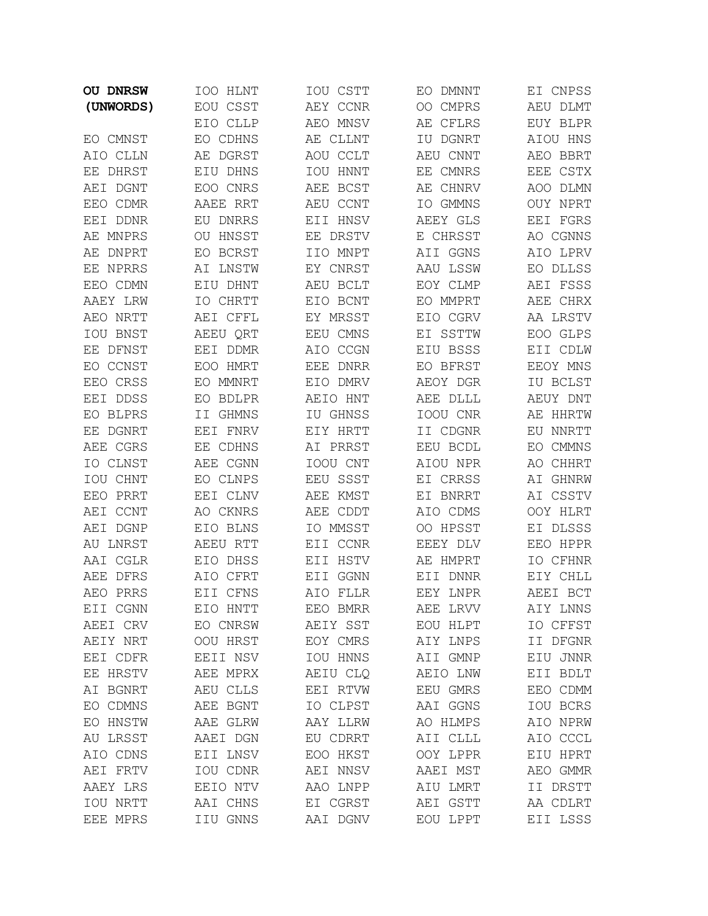| <b>OU DNRSW</b>    | IOO HLNT    | IOU CSTT    | EO DMNNT           | EI CNPSS           |
|--------------------|-------------|-------------|--------------------|--------------------|
| (UNWORDS)          | EOU CSST    | AEY CCNR    | OO CMPRS           | AEU DLMT           |
|                    | EIO CLLP    | AEO MNSV    | AЕ<br>CFLRS        | EUY BLPR           |
| EO CMNST           | EO CDHNS    | AE CLLNT    | IU DGNRT           | AIOU HNS           |
| AIO CLLN           | AE DGRST    | AOU CCLT    | AEU CNNT           | AEO BBRT           |
| EE DHRST           | EIU DHNS    | IOU HNNT    | <b>CMNRS</b><br>EЕ | EEE CSTX           |
| AEI DGNT           | EOO CNRS    | AEE BCST    | AE CHNRV           | AOO DLMN           |
| EEO CDMR           | AAEE RRT    | AEU CCNT    | IO GMMNS           | OUY NPRT           |
| EEI DDNR           | EU DNRRS    | EII HNSV    | AEEY GLS           | EEI FGRS           |
| AE MNPRS           | HNSST<br>OU | EE DRSTV    | CHRSST<br>E        | AO CGNNS           |
| AЕ<br><b>DNPRT</b> | BCRST<br>EO | IIO MNPT    | AII GGNS           | AIO LPRV           |
| NPRRS<br>EЕ        | LNSTW<br>ΑI | EY CNRST    | AAU LSSW           | EO DLLSS           |
| EEO CDMN           | EIU DHNT    | AEU BCLT    | EOY CLMP           | AEI FSSS           |
| AAEY LRW           | IO CHRTT    | EIO BCNT    | EO MMPRT           | AEE CHRX           |
| AEO NRTT           | AEI CFFL    | EY MRSST    | EIO CGRV           | AA LRSTV           |
| IOU BNST           | AEEU ORT    | EEU CMNS    | EI SSTTW           | EOO GLPS           |
| DFNST<br>EE.       | EEI DDMR    | AIO CCGN    | EIU BSSS           | EII CDLW           |
| EO CCNST           | EOO HMRT    | EEE<br>DNRR | EO BFRST           | EEOY MNS           |
| EEO CRSS           | EO MMNRT    | EIO DMRV    | AEOY DGR           | IU BCLST           |
| EEI DDSS           | BDLPR<br>EO | AEIO HNT    | AEE DLLL           | AEUY DNT           |
| EO BLPRS           | GHMNS<br>ΙI | IU GHNSS    | IOOU CNR           | AE HHRTW           |
| <b>DGNRT</b><br>ΕE | EEI FNRV    | EIY HRTT    | II CDGNR           | EU NNRTT           |
| AEE CGRS           | EE CDHNS    | AI PRRST    | EEU BCDL           | CMMNS<br>EO.       |
| IO CLNST           | AEE CGNN    | IOOU CNT    | AIOU NPR           | AО<br><b>CHHRT</b> |
| IOU CHNT           | EO CLNPS    | EEU SSST    | EI CRRSS           | GHNRW<br>ΑI        |
| PRRT<br>EEO        | EEI CLNV    | AEE KMST    | EI BNRRT           | AI CSSTV           |
| <b>CCNT</b><br>AEI | AO CKNRS    | AEE CDDT    | AIO CDMS           | OOY HLRT           |
| DGNP<br>AEI        | EIO BLNS    | IO MMSST    | OO HPSST           | EI DLSSS           |
| AU LNRST           | AEEU RTT    | EII CCNR    | EEEY DLV           | EEO HPPR           |
| AAI CGLR           | EIO DHSS    | EII HSTV    | AE HMPRT           | IO CFHNR           |
| DFRS<br>AEE        | AIO CFRT    | GGNN<br>EII | DNNR<br>EII        | EIY CHLL           |
| PRRS<br>AEO        | EII CFNS    | AIO FLLR    | EEY LNPR           | AEEI BCT           |
| EII CGNN           | EIO HNTT    | EEO BMRR    | AEE LRVV           | AIY LNNS           |
| AEEI CRV           | EO CNRSW    | AEIY SST    | EOU HLPT           | IO CFFST           |
| AEIY NRT           | OOU HRST    | EOY CMRS    | AIY LNPS           | II DFGNR           |
| EEI CDFR           | EEII NSV    | IOU HNNS    | AII GMNP           | EIU JNNR           |
| EE HRSTV           | AEE MPRX    | AEIU CLQ    | AEIO LNW           | EII BDLT           |
| AI BGNRT           | AEU CLLS    | EEI RTVW    | EEU GMRS           | EEO CDMM           |
| EO CDMNS           | AEE BGNT    | IO CLPST    | AAI GGNS           | IOU BCRS           |
| EO HNSTW           | AAE GLRW    | AAY LLRW    | AO HLMPS           | AIO NPRW           |
| AU LRSST           | AAEI DGN    | EU CDRRT    | AII CLLL           | AIO CCCL           |
| AIO CDNS           | EII LNSV    | EOO HKST    | OOY LPPR           | EIU HPRT           |
| AEI FRTV           | IOU CDNR    | AEI NNSV    | AAEI MST           | AEO GMMR           |
| AAEY LRS           | EEIO NTV    | AAO LNPP    | AIU LMRT           | II DRSTT           |
| IOU NRTT           | AAI CHNS    | EI CGRST    | AEI GSTT           | AA CDLRT           |
| EEE MPRS           | IIU GNNS    | AAI DGNV    | EOU LPPT           | EII LSSS           |